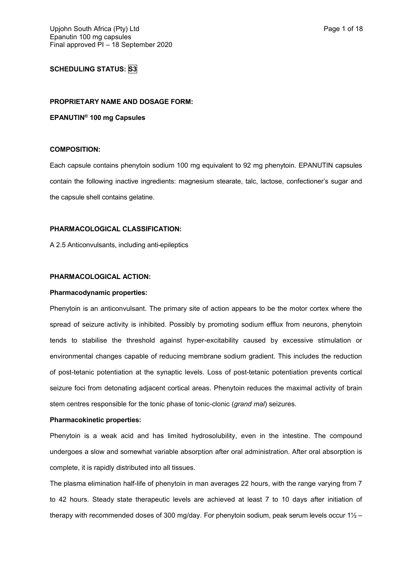# **SCHEDULING STATUS: S3**

### **PROPRIETARY NAME AND DOSAGE FORM:**

**EPANUTIN® 100 mg Capsules**

#### **COMPOSITION:**

Each capsule contains phenytoin sodium 100 mg equivalent to 92 mg phenytoin. EPANUTIN capsules contain the following inactive ingredients: magnesium stearate, talc, lactose, confectioner's sugar and the capsule shell contains gelatine.

### **PHARMACOLOGICAL CLASSIFICATION:**

A 2.5 Anticonvulsants, including anti-epileptics

# **PHARMACOLOGICAL ACTION:**

#### **Pharmacodynamic properties:**

Phenytoin is an anticonvulsant. The primary site of action appears to be the motor cortex where the spread of seizure activity is inhibited. Possibly by promoting sodium efflux from neurons, phenytoin tends to stabilise the threshold against hyper-excitability caused by excessive stimulation or environmental changes capable of reducing membrane sodium gradient. This includes the reduction of post-tetanic potentiation at the synaptic levels. Loss of post-tetanic potentiation prevents cortical seizure foci from detonating adjacent cortical areas. Phenytoin reduces the maximal activity of brain stem centres responsible for the tonic phase of tonic-clonic (*grand mal*) seizures.

### **Pharmacokinetic properties:**

Phenytoin is a weak acid and has limited hydrosolubility, even in the intestine. The compound undergoes a slow and somewhat variable absorption after oral administration. After oral absorption is complete, it is rapidly distributed into all tissues.

The plasma elimination half-life of phenytoin in man averages 22 hours, with the range varying from 7 to 42 hours. Steady state therapeutic levels are achieved at least 7 to 10 days after initiation of therapy with recommended doses of 300 mg/day. For phenytoin sodium, peak serum levels occur 1½ –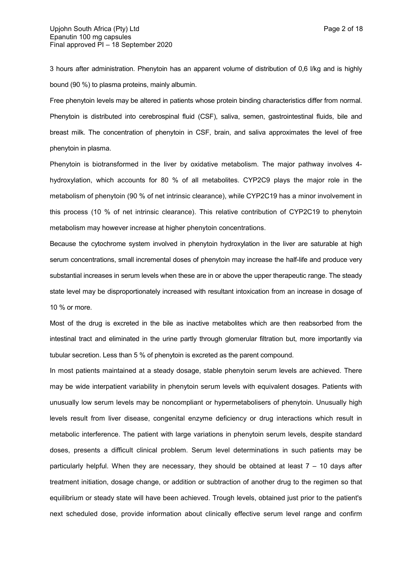3 hours after administration. Phenytoin has an apparent volume of distribution of 0,6 l/kg and is highly bound (90 %) to plasma proteins, mainly albumin.

Free phenytoin levels may be altered in patients whose protein binding characteristics differ from normal. Phenytoin is distributed into cerebrospinal fluid (CSF), saliva, semen, gastrointestinal fluids, bile and breast milk. The concentration of phenytoin in CSF, brain, and saliva approximates the level of free phenytoin in plasma.

Phenytoin is biotransformed in the liver by oxidative metabolism. The major pathway involves 4 hydroxylation, which accounts for 80 % of all metabolites. CYP2C9 plays the major role in the metabolism of phenytoin (90 % of net intrinsic clearance), while CYP2C19 has a minor involvement in this process (10 % of net intrinsic clearance). This relative contribution of CYP2C19 to phenytoin metabolism may however increase at higher phenytoin concentrations.

Because the cytochrome system involved in phenytoin hydroxylation in the liver are saturable at high serum concentrations, small incremental doses of phenytoin may increase the half-life and produce very substantial increases in serum levels when these are in or above the upper therapeutic range. The steady state level may be disproportionately increased with resultant intoxication from an increase in dosage of 10 % or more.

Most of the drug is excreted in the bile as inactive metabolites which are then reabsorbed from the intestinal tract and eliminated in the urine partly through glomerular filtration but, more importantly via tubular secretion. Less than 5 % of phenytoin is excreted as the parent compound.

In most patients maintained at a steady dosage, stable phenytoin serum levels are achieved. There may be wide interpatient variability in phenytoin serum levels with equivalent dosages. Patients with unusually low serum levels may be noncompliant or hypermetabolisers of phenytoin. Unusually high levels result from liver disease, congenital enzyme deficiency or drug interactions which result in metabolic interference. The patient with large variations in phenytoin serum levels, despite standard doses, presents a difficult clinical problem. Serum level determinations in such patients may be particularly helpful. When they are necessary, they should be obtained at least 7 – 10 days after treatment initiation, dosage change, or addition or subtraction of another drug to the regimen so that equilibrium or steady state will have been achieved. Trough levels, obtained just prior to the patient's next scheduled dose, provide information about clinically effective serum level range and confirm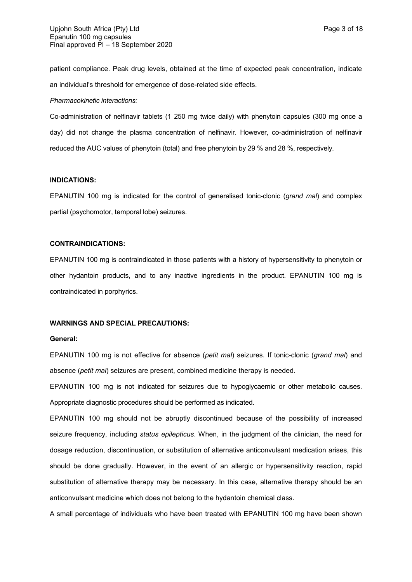patient compliance. Peak drug levels, obtained at the time of expected peak concentration, indicate an individual's threshold for emergence of dose-related side effects.

#### *Pharmacokinetic interactions:*

Co-administration of nelfinavir tablets (1 250 mg twice daily) with phenytoin capsules (300 mg once a day) did not change the plasma concentration of nelfinavir. However, co-administration of nelfinavir reduced the AUC values of phenytoin (total) and free phenytoin by 29 % and 28 %, respectively.

### **INDICATIONS:**

EPANUTIN 100 mg is indicated for the control of generalised tonic-clonic (*grand mal*) and complex partial (psychomotor, temporal lobe) seizures.

## **CONTRAINDICATIONS:**

EPANUTIN 100 mg is contraindicated in those patients with a history of hypersensitivity to phenytoin or other hydantoin products, and to any inactive ingredients in the product. EPANUTIN 100 mg is contraindicated in porphyrics.

# **WARNINGS AND SPECIAL PRECAUTIONS:**

#### **General:**

EPANUTIN 100 mg is not effective for absence (*petit mal*) seizures. If tonic-clonic (*grand mal*) and absence (*petit mal*) seizures are present, combined medicine therapy is needed.

EPANUTIN 100 mg is not indicated for seizures due to hypoglycaemic or other metabolic causes. Appropriate diagnostic procedures should be performed as indicated.

EPANUTIN 100 mg should not be abruptly discontinued because of the possibility of increased seizure frequency, including *status epilepticus*. When, in the judgment of the clinician, the need for dosage reduction, discontinuation, or substitution of alternative anticonvulsant medication arises, this should be done gradually. However, in the event of an allergic or hypersensitivity reaction, rapid substitution of alternative therapy may be necessary. In this case, alternative therapy should be an anticonvulsant medicine which does not belong to the hydantoin chemical class.

A small percentage of individuals who have been treated with EPANUTIN 100 mg have been shown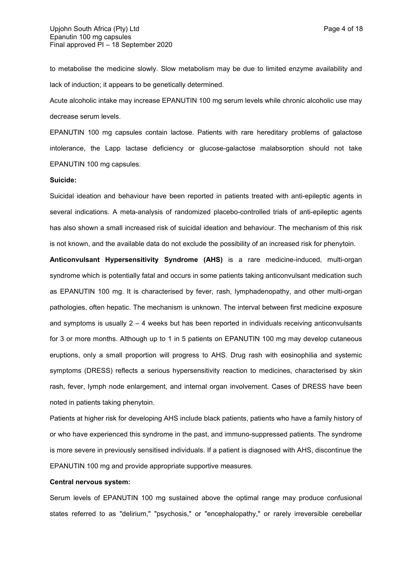to metabolise the medicine slowly. Slow metabolism may be due to limited enzyme availability and lack of induction; it appears to be genetically determined.

Acute alcoholic intake may increase EPANUTIN 100 mg serum levels while chronic alcoholic use may decrease serum levels.

EPANUTIN 100 mg capsules contain lactose. Patients with rare hereditary problems of galactose intolerance, the Lapp lactase deficiency or glucose-galactose malabsorption should not take EPANUTIN 100 mg capsules.

#### **Suicide:**

Suicidal ideation and behaviour have been reported in patients treated with anti-epileptic agents in several indications. A meta-analysis of randomized placebo-controlled trials of anti-epileptic agents has also shown a small increased risk of suicidal ideation and behaviour. The mechanism of this risk is not known, and the available data do not exclude the possibility of an increased risk for phenytoin.

**Anticonvulsant Hypersensitivity Syndrome (AHS)** is a rare medicine-induced, multi-organ syndrome which is potentially fatal and occurs in some patients taking anticonvulsant medication such as EPANUTIN 100 mg. It is characterised by fever, rash, lymphadenopathy, and other multi-organ pathologies, often hepatic. The mechanism is unknown. The interval between first medicine exposure and symptoms is usually  $2 - 4$  weeks but has been reported in individuals receiving anticonvulsants for 3 or more months. Although up to 1 in 5 patients on EPANUTIN 100 mg may develop cutaneous eruptions, only a small proportion will progress to AHS. Drug rash with eosinophilia and systemic symptoms (DRESS) reflects a serious hypersensitivity reaction to medicines, characterised by skin rash, fever, lymph node enlargement, and internal organ involvement. Cases of DRESS have been noted in patients taking phenytoin.

Patients at higher risk for developing AHS include black patients, patients who have a family history of or who have experienced this syndrome in the past, and immuno-suppressed patients. The syndrome is more severe in previously sensitised individuals. If a patient is diagnosed with AHS, discontinue the EPANUTIN 100 mg and provide appropriate supportive measures.

#### **Central nervous system:**

Serum levels of EPANUTIN 100 mg sustained above the optimal range may produce confusional states referred to as "delirium," "psychosis," or "encephalopathy," or rarely irreversible cerebellar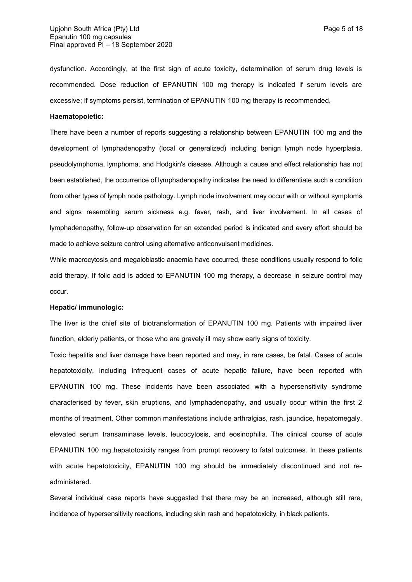dysfunction. Accordingly, at the first sign of acute toxicity, determination of serum drug levels is recommended. Dose reduction of EPANUTIN 100 mg therapy is indicated if serum levels are excessive; if symptoms persist, termination of EPANUTIN 100 mg therapy is recommended.

## **Haematopoietic:**

There have been a number of reports suggesting a relationship between EPANUTIN 100 mg and the development of lymphadenopathy (local or generalized) including benign lymph node hyperplasia, pseudolymphoma, lymphoma, and Hodgkin's disease. Although a cause and effect relationship has not been established, the occurrence of lymphadenopathy indicates the need to differentiate such a condition from other types of lymph node pathology. Lymph node involvement may occur with or without symptoms and signs resembling serum sickness e.g. fever, rash, and liver involvement. In all cases of lymphadenopathy, follow-up observation for an extended period is indicated and every effort should be made to achieve seizure control using alternative anticonvulsant medicines.

While macrocytosis and megaloblastic anaemia have occurred, these conditions usually respond to folic acid therapy. If folic acid is added to EPANUTIN 100 mg therapy, a decrease in seizure control may occur.

### **Hepatic/ immunologic:**

The liver is the chief site of biotransformation of EPANUTIN 100 mg. Patients with impaired liver function, elderly patients, or those who are gravely ill may show early signs of toxicity.

Toxic hepatitis and liver damage have been reported and may, in rare cases, be fatal. Cases of acute hepatotoxicity, including infrequent cases of acute hepatic failure, have been reported with EPANUTIN 100 mg. These incidents have been associated with a hypersensitivity syndrome characterised by fever, skin eruptions, and lymphadenopathy, and usually occur within the first 2 months of treatment. Other common manifestations include arthralgias, rash, jaundice, hepatomegaly, elevated serum transaminase levels, leucocytosis, and eosinophilia. The clinical course of acute EPANUTIN 100 mg hepatotoxicity ranges from prompt recovery to fatal outcomes. In these patients with acute hepatotoxicity, EPANUTIN 100 mg should be immediately discontinued and not readministered.

Several individual case reports have suggested that there may be an increased, although still rare, incidence of hypersensitivity reactions, including skin rash and hepatotoxicity, in black patients.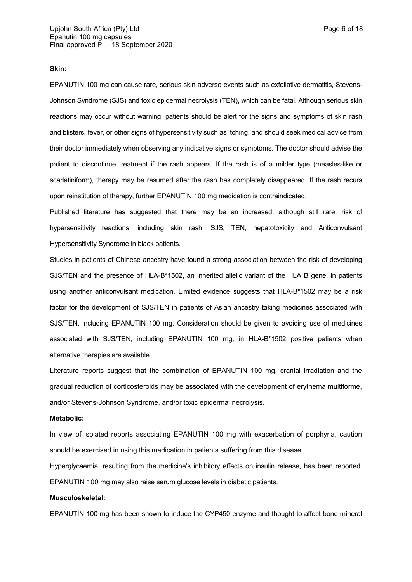#### **Skin:**

EPANUTIN 100 mg can cause rare, serious skin adverse events such as exfoliative dermatitis, Stevens-Johnson Syndrome (SJS) and toxic epidermal necrolysis (TEN), which can be fatal. Although serious skin reactions may occur without warning, patients should be alert for the signs and symptoms of skin rash and blisters, fever, or other signs of hypersensitivity such as itching, and should seek medical advice from their doctor immediately when observing any indicative signs or symptoms. The doctor should advise the patient to discontinue treatment if the rash appears. If the rash is of a milder type (measles-like or scarlatiniform), therapy may be resumed after the rash has completely disappeared. If the rash recurs upon reinstitution of therapy, further EPANUTIN 100 mg medication is contraindicated.

Published literature has suggested that there may be an increased, although still rare, risk of hypersensitivity reactions, including skin rash, SJS, TEN, hepatotoxicity and Anticonvulsant Hypersensitivity Syndrome in black patients.

Studies in patients of Chinese ancestry have found a strong association between the risk of developing SJS/TEN and the presence of HLA-B\*1502, an inherited allelic variant of the HLA B gene, in patients using another anticonvulsant medication. Limited evidence suggests that HLA-B\*1502 may be a risk factor for the development of SJS/TEN in patients of Asian ancestry taking medicines associated with SJS/TEN, including EPANUTIN 100 mg. Consideration should be given to avoiding use of medicines associated with SJS/TEN, including EPANUTIN 100 mg, in HLA-B\*1502 positive patients when alternative therapies are available.

Literature reports suggest that the combination of EPANUTIN 100 mg, cranial irradiation and the gradual reduction of corticosteroids may be associated with the development of erythema multiforme, and/or Stevens-Johnson Syndrome, and/or toxic epidermal necrolysis.

#### **Metabolic:**

In view of isolated reports associating EPANUTIN 100 mg with exacerbation of porphyria, caution should be exercised in using this medication in patients suffering from this disease.

Hyperglycaemia, resulting from the medicine's inhibitory effects on insulin release, has been reported. EPANUTIN 100 mg may also raise serum glucose levels in diabetic patients.

#### **Musculoskeletal:**

EPANUTIN 100 mg has been shown to induce the CYP450 enzyme and thought to affect bone mineral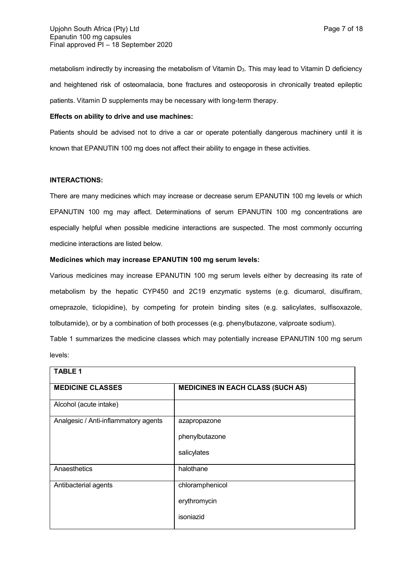metabolism indirectly by increasing the metabolism of Vitamin D<sub>3</sub>. This may lead to Vitamin D deficiency and heightened risk of osteomalacia, bone fractures and osteoporosis in chronically treated epileptic patients. Vitamin D supplements may be necessary with long-term therapy.

## **Effects on ability to drive and use machines:**

Patients should be advised not to drive a car or operate potentially dangerous machinery until it is known that EPANUTIN 100 mg does not affect their ability to engage in these activities.

# **INTERACTIONS:**

There are many medicines which may increase or decrease serum EPANUTIN 100 mg levels or which EPANUTIN 100 mg may affect. Determinations of serum EPANUTIN 100 mg concentrations are especially helpful when possible medicine interactions are suspected. The most commonly occurring medicine interactions are listed below.

# **Medicines which may increase EPANUTIN 100 mg serum levels:**

Various medicines may increase EPANUTIN 100 mg serum levels either by decreasing its rate of metabolism by the hepatic CYP450 and 2C19 enzymatic systems (e.g. dicumarol, disulfiram, omeprazole, ticlopidine), by competing for protein binding sites (e.g. salicylates, sulfisoxazole, tolbutamide), or by a combination of both processes (e.g. phenylbutazone, valproate sodium).

Table 1 summarizes the medicine classes which may potentially increase EPANUTIN 100 mg serum levels:

| <b>TABLE 1</b>                       |                                          |  |
|--------------------------------------|------------------------------------------|--|
| <b>MEDICINE CLASSES</b>              | <b>MEDICINES IN EACH CLASS (SUCH AS)</b> |  |
| Alcohol (acute intake)               |                                          |  |
| Analgesic / Anti-inflammatory agents | azapropazone                             |  |
|                                      | phenylbutazone                           |  |
|                                      | salicylates                              |  |
| Anaesthetics                         | halothane                                |  |
| Antibacterial agents                 | chloramphenicol                          |  |
|                                      | erythromycin                             |  |
|                                      | isoniazid                                |  |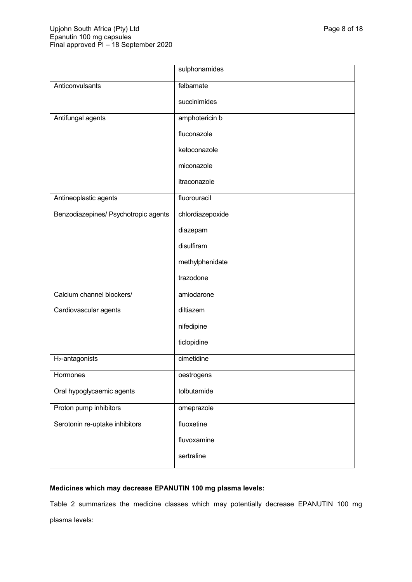|                                      | sulphonamides    |  |
|--------------------------------------|------------------|--|
| Anticonvulsants                      | felbamate        |  |
|                                      | succinimides     |  |
| Antifungal agents                    | amphotericin b   |  |
|                                      | fluconazole      |  |
|                                      | ketoconazole     |  |
|                                      | miconazole       |  |
|                                      | itraconazole     |  |
| Antineoplastic agents                | fluorouracil     |  |
| Benzodiazepines/ Psychotropic agents | chlordiazepoxide |  |
|                                      | diazepam         |  |
|                                      | disulfiram       |  |
|                                      | methylphenidate  |  |
|                                      | trazodone        |  |
| Calcium channel blockers/            | amiodarone       |  |
| Cardiovascular agents                | diltiazem        |  |
|                                      | nifedipine       |  |
|                                      | ticlopidine      |  |
| H <sub>2</sub> -antagonists          | cimetidine       |  |
| Hormones                             | oestrogens       |  |
| Oral hypoglycaemic agents            | tolbutamide      |  |
| Proton pump inhibitors               | omeprazole       |  |
| Serotonin re-uptake inhibitors       | fluoxetine       |  |
|                                      | fluvoxamine      |  |
|                                      | sertraline       |  |

# **Medicines which may decrease EPANUTIN 100 mg plasma levels:**

Table 2 summarizes the medicine classes which may potentially decrease EPANUTIN 100 mg plasma levels: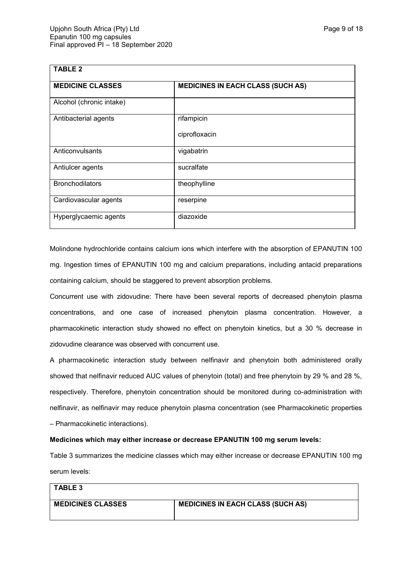| <b>TABLE 2</b>           |                                          |
|--------------------------|------------------------------------------|
| <b>MEDICINE CLASSES</b>  | <b>MEDICINES IN EACH CLASS (SUCH AS)</b> |
| Alcohol (chronic intake) |                                          |
| Antibacterial agents     | rifampicin                               |
|                          | ciprofloxacin                            |
| Anticonvulsants          | vigabatrin                               |
| Antiulcer agents         | sucralfate                               |
| <b>Bronchodilators</b>   | theophylline                             |
| Cardiovascular agents    | reserpine                                |
| Hyperglycaemic agents    | diazoxide                                |

Molindone hydrochloride contains calcium ions which interfere with the absorption of EPANUTIN 100 mg. Ingestion times of EPANUTIN 100 mg and calcium preparations, including antacid preparations containing calcium, should be staggered to prevent absorption problems.

Concurrent use with zidovudine: There have been several reports of decreased phenytoin plasma concentrations, and one case of increased phenytoin plasma concentration. However, a pharmacokinetic interaction study showed no effect on phenytoin kinetics, but a 30 % decrease in zidovudine clearance was observed with concurrent use.

A pharmacokinetic interaction study between nelfinavir and phenytoin both administered orally showed that nelfinavir reduced AUC values of phenytoin (total) and free phenytoin by 29 % and 28 %, respectively. Therefore, phenytoin concentration should be monitored during co-administration with nelfinavir, as nelfinavir may reduce phenytoin plasma concentration (see Pharmacokinetic properties – Pharmacokinetic interactions).

# **Medicines which may either increase or decrease EPANUTIN 100 mg serum levels:**

Table 3 summarizes the medicine classes which may either increase or decrease EPANUTIN 100 mg serum levels:

| <b>TABLE 3</b>           |                                          |
|--------------------------|------------------------------------------|
| <b>MEDICINES CLASSES</b> | <b>MEDICINES IN EACH CLASS (SUCH AS)</b> |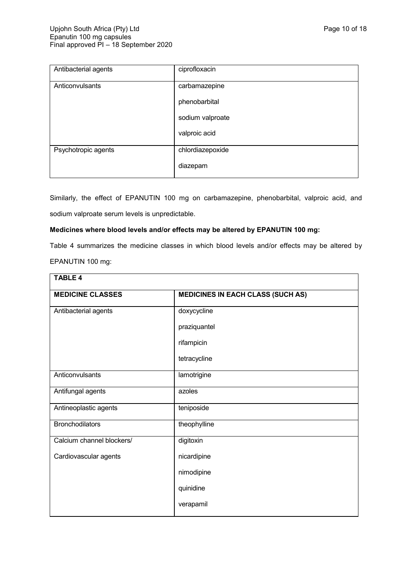| Antibacterial agents | ciprofloxacin    |  |
|----------------------|------------------|--|
| Anticonvulsants      | carbamazepine    |  |
|                      | phenobarbital    |  |
|                      | sodium valproate |  |
|                      | valproic acid    |  |
| Psychotropic agents  | chlordiazepoxide |  |
|                      | diazepam         |  |

Similarly, the effect of EPANUTIN 100 mg on carbamazepine, phenobarbital, valproic acid, and sodium valproate serum levels is unpredictable.

# **Medicines where blood levels and/or effects may be altered by EPANUTIN 100 mg:**

Table 4 summarizes the medicine classes in which blood levels and/or effects may be altered by EPANUTIN 100 mg:

| <b>TABLE 4</b>            |                                          |
|---------------------------|------------------------------------------|
| <b>MEDICINE CLASSES</b>   | <b>MEDICINES IN EACH CLASS (SUCH AS)</b> |
| Antibacterial agents      | doxycycline                              |
|                           | praziquantel                             |
|                           | rifampicin                               |
|                           | tetracycline                             |
| Anticonvulsants           | lamotrigine                              |
| Antifungal agents         | azoles                                   |
| Antineoplastic agents     | teniposide                               |
| <b>Bronchodilators</b>    | theophylline                             |
| Calcium channel blockers/ | digitoxin                                |
| Cardiovascular agents     | nicardipine                              |
|                           | nimodipine                               |
|                           | quinidine                                |
|                           | verapamil                                |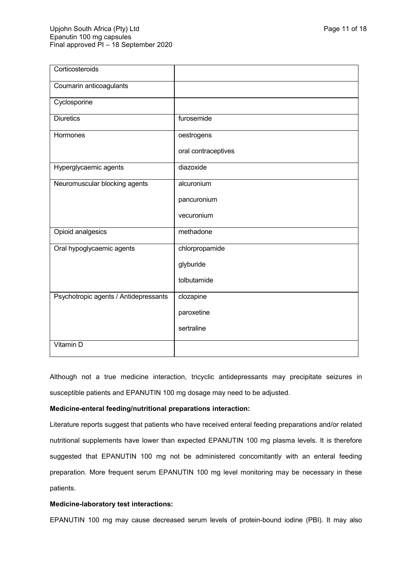| Corticosteroids                       |                     |
|---------------------------------------|---------------------|
| Coumarin anticoagulants               |                     |
| Cyclosporine                          |                     |
| <b>Diuretics</b>                      | furosemide          |
| Hormones                              | oestrogens          |
|                                       | oral contraceptives |
| Hyperglycaemic agents                 | diazoxide           |
| Neuromuscular blocking agents         | alcuronium          |
|                                       | pancuronium         |
|                                       | vecuronium          |
| Opioid analgesics                     | methadone           |
| Oral hypoglycaemic agents             | chlorpropamide      |
|                                       | glyburide           |
|                                       | tolbutamide         |
| Psychotropic agents / Antidepressants | clozapine           |
|                                       | paroxetine          |
|                                       | sertraline          |
| Vitamin D                             |                     |

Although not a true medicine interaction, tricyclic antidepressants may precipitate seizures in susceptible patients and EPANUTIN 100 mg dosage may need to be adjusted.

# **Medicine-enteral feeding/nutritional preparations interaction:**

Literature reports suggest that patients who have received enteral feeding preparations and/or related nutritional supplements have lower than expected EPANUTIN 100 mg plasma levels. It is therefore suggested that EPANUTIN 100 mg not be administered concomitantly with an enteral feeding preparation. More frequent serum EPANUTIN 100 mg level monitoring may be necessary in these patients.

## **Medicine-laboratory test interactions:**

EPANUTIN 100 mg may cause decreased serum levels of protein-bound iodine (PBI). It may also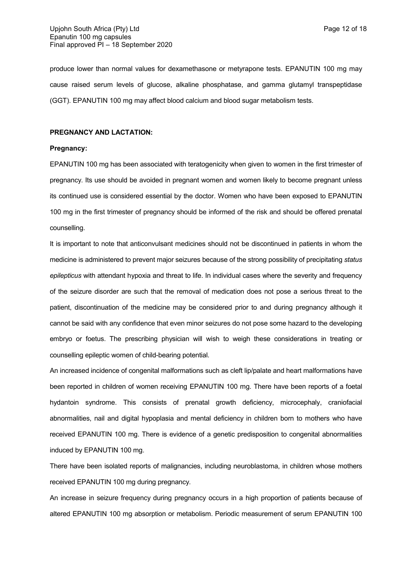produce lower than normal values for dexamethasone or metyrapone tests. EPANUTIN 100 mg may cause raised serum levels of glucose, alkaline phosphatase, and gamma glutamyl transpeptidase (GGT). EPANUTIN 100 mg may affect blood calcium and blood sugar metabolism tests.

# **PREGNANCY AND LACTATION:**

## **Pregnancy:**

EPANUTIN 100 mg has been associated with teratogenicity when given to women in the first trimester of pregnancy. Its use should be avoided in pregnant women and women likely to become pregnant unless its continued use is considered essential by the doctor. Women who have been exposed to EPANUTIN 100 mg in the first trimester of pregnancy should be informed of the risk and should be offered prenatal counselling.

It is important to note that anticonvulsant medicines should not be discontinued in patients in whom the medicine is administered to prevent major seizures because of the strong possibility of precipitating *status epilepticus* with attendant hypoxia and threat to life. In individual cases where the severity and frequency of the seizure disorder are such that the removal of medication does not pose a serious threat to the patient, discontinuation of the medicine may be considered prior to and during pregnancy although it cannot be said with any confidence that even minor seizures do not pose some hazard to the developing embryo or foetus. The prescribing physician will wish to weigh these considerations in treating or counselling epileptic women of child-bearing potential.

An increased incidence of congenital malformations such as cleft lip/palate and heart malformations have been reported in children of women receiving EPANUTIN 100 mg. There have been reports of a foetal hydantoin syndrome. This consists of prenatal growth deficiency, microcephaly, craniofacial abnormalities, nail and digital hypoplasia and mental deficiency in children born to mothers who have received EPANUTIN 100 mg. There is evidence of a genetic predisposition to congenital abnormalities induced by EPANUTIN 100 mg.

There have been isolated reports of malignancies, including neuroblastoma, in children whose mothers received EPANUTIN 100 mg during pregnancy.

An increase in seizure frequency during pregnancy occurs in a high proportion of patients because of altered EPANUTIN 100 mg absorption or metabolism. Periodic measurement of serum EPANUTIN 100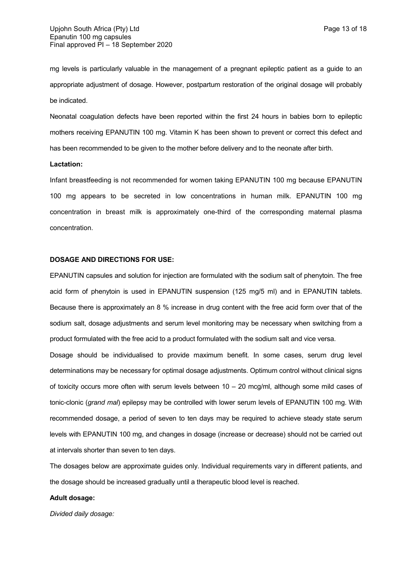mg levels is particularly valuable in the management of a pregnant epileptic patient as a guide to an appropriate adjustment of dosage. However, postpartum restoration of the original dosage will probably be indicated.

Neonatal coagulation defects have been reported within the first 24 hours in babies born to epileptic mothers receiving EPANUTIN 100 mg. Vitamin K has been shown to prevent or correct this defect and has been recommended to be given to the mother before delivery and to the neonate after birth.

### **Lactation:**

Infant breastfeeding is not recommended for women taking EPANUTIN 100 mg because EPANUTIN 100 mg appears to be secreted in low concentrations in human milk. EPANUTIN 100 mg concentration in breast milk is approximately one-third of the corresponding maternal plasma concentration.

### **DOSAGE AND DIRECTIONS FOR USE:**

EPANUTIN capsules and solution for injection are formulated with the sodium salt of phenytoin. The free acid form of phenytoin is used in EPANUTIN suspension (125 mg/5 ml) and in EPANUTIN tablets. Because there is approximately an 8 % increase in drug content with the free acid form over that of the sodium salt, dosage adjustments and serum level monitoring may be necessary when switching from a product formulated with the free acid to a product formulated with the sodium salt and vice versa.

Dosage should be individualised to provide maximum benefit. In some cases, serum drug level determinations may be necessary for optimal dosage adjustments. Optimum control without clinical signs of toxicity occurs more often with serum levels between 10 – 20 mcg/ml, although some mild cases of tonic-clonic (*grand mal*) epilepsy may be controlled with lower serum levels of EPANUTIN 100 mg. With recommended dosage, a period of seven to ten days may be required to achieve steady state serum levels with EPANUTIN 100 mg, and changes in dosage (increase or decrease) should not be carried out at intervals shorter than seven to ten days.

The dosages below are approximate guides only. Individual requirements vary in different patients, and the dosage should be increased gradually until a therapeutic blood level is reached.

#### **Adult dosage:**

*Divided daily dosage:*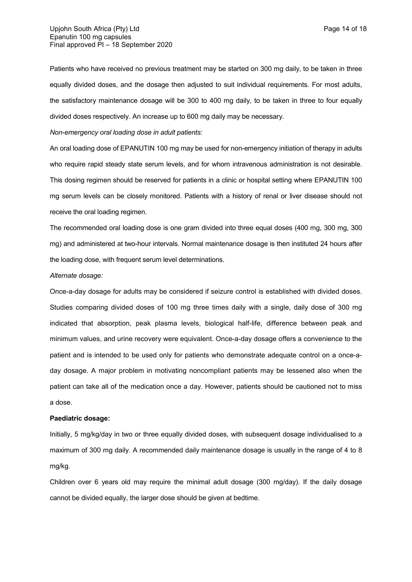Patients who have received no previous treatment may be started on 300 mg daily, to be taken in three equally divided doses, and the dosage then adjusted to suit individual requirements. For most adults, the satisfactory maintenance dosage will be 300 to 400 mg daily, to be taken in three to four equally divided doses respectively. An increase up to 600 mg daily may be necessary.

*Non-emergency oral loading dose in adult patients:*

An oral loading dose of EPANUTIN 100 mg may be used for non-emergency initiation of therapy in adults who require rapid steady state serum levels, and for whom intravenous administration is not desirable. This dosing regimen should be reserved for patients in a clinic or hospital setting where EPANUTIN 100 mg serum levels can be closely monitored. Patients with a history of renal or liver disease should not receive the oral loading regimen.

The recommended oral loading dose is one gram divided into three equal doses (400 mg, 300 mg, 300 mg) and administered at two-hour intervals. Normal maintenance dosage is then instituted 24 hours after the loading dose, with frequent serum level determinations.

#### *Alternate dosage:*

Once-a-day dosage for adults may be considered if seizure control is established with divided doses. Studies comparing divided doses of 100 mg three times daily with a single, daily dose of 300 mg indicated that absorption, peak plasma levels, biological half-life, difference between peak and minimum values, and urine recovery were equivalent. Once-a-day dosage offers a convenience to the patient and is intended to be used only for patients who demonstrate adequate control on a once-aday dosage. A major problem in motivating noncompliant patients may be lessened also when the patient can take all of the medication once a day. However, patients should be cautioned not to miss a dose.

#### **Paediatric dosage:**

Initially, 5 mg/kg/day in two or three equally divided doses, with subsequent dosage individualised to a maximum of 300 mg daily. A recommended daily maintenance dosage is usually in the range of 4 to 8 mg/kg.

Children over 6 years old may require the minimal adult dosage (300 mg/day). If the daily dosage cannot be divided equally, the larger dose should be given at bedtime.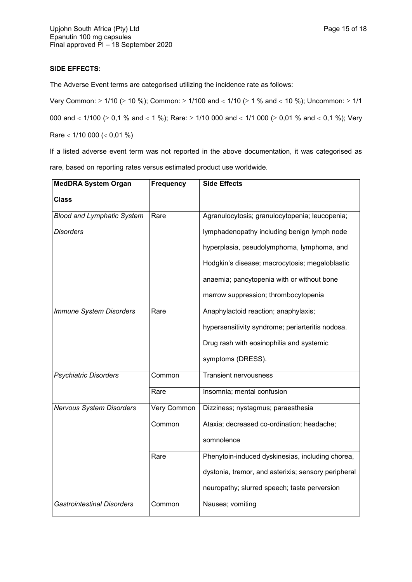# **SIDE EFFECTS:**

The Adverse Event terms are categorised utilizing the incidence rate as follows:

Very Common:  $\geq 1/10$  ( $\geq 10$  %); Common:  $\geq 1/100$  and  $< 1/10$  ( $\geq 1$  % and  $< 10$  %); Uncommon:  $\geq 1/1$ 000 and  $<$  1/100 ( $\ge$  0,1 % and  $<$  1 %); Rare:  $\ge$  1/10 000 and  $<$  1/1 000 ( $\ge$  0,01 % and  $<$  0,1 %); Very Rare  $<$  1/10 000 ( $<$  0,01 %)

If a listed adverse event term was not reported in the above documentation, it was categorised as rare, based on reporting rates versus estimated product use worldwide.

| <b>MedDRA System Organ</b>        | <b>Frequency</b> | <b>Side Effects</b>                                 |
|-----------------------------------|------------------|-----------------------------------------------------|
| <b>Class</b>                      |                  |                                                     |
| <b>Blood and Lymphatic System</b> | Rare             | Agranulocytosis; granulocytopenia; leucopenia;      |
| <b>Disorders</b>                  |                  | lymphadenopathy including benign lymph node         |
|                                   |                  | hyperplasia, pseudolymphoma, lymphoma, and          |
|                                   |                  | Hodgkin's disease; macrocytosis; megaloblastic      |
|                                   |                  | anaemia; pancytopenia with or without bone          |
|                                   |                  | marrow suppression; thrombocytopenia                |
| Immune System Disorders           | Rare             | Anaphylactoid reaction; anaphylaxis;                |
|                                   |                  | hypersensitivity syndrome; periarteritis nodosa.    |
|                                   |                  | Drug rash with eosinophilia and systemic            |
|                                   |                  | symptoms (DRESS).                                   |
| <b>Psychiatric Disorders</b>      | Common           | <b>Transient nervousness</b>                        |
|                                   | Rare             | Insomnia; mental confusion                          |
| <b>Nervous System Disorders</b>   | Very Common      | Dizziness; nystagmus; paraesthesia                  |
|                                   | Common           | Ataxia; decreased co-ordination; headache;          |
|                                   |                  | somnolence                                          |
|                                   | Rare             | Phenytoin-induced dyskinesias, including chorea,    |
|                                   |                  | dystonia, tremor, and asterixis; sensory peripheral |
|                                   |                  | neuropathy; slurred speech; taste perversion        |
| <b>Gastrointestinal Disorders</b> | Common           | Nausea; vomiting                                    |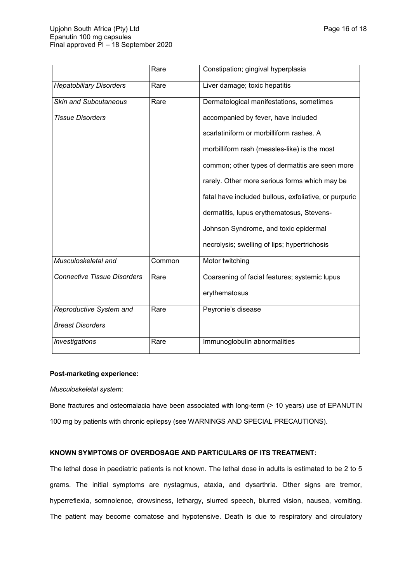|                                    | Rare   | Constipation; gingival hyperplasia                    |
|------------------------------------|--------|-------------------------------------------------------|
| <b>Hepatobiliary Disorders</b>     | Rare   | Liver damage; toxic hepatitis                         |
| <b>Skin and Subcutaneous</b>       | Rare   | Dermatological manifestations, sometimes              |
| <b>Tissue Disorders</b>            |        | accompanied by fever, have included                   |
|                                    |        | scarlatiniform or morbilliform rashes. A              |
|                                    |        | morbilliform rash (measles-like) is the most          |
|                                    |        | common; other types of dermatitis are seen more       |
|                                    |        | rarely. Other more serious forms which may be         |
|                                    |        | fatal have included bullous, exfoliative, or purpuric |
|                                    |        | dermatitis, lupus erythematosus, Stevens-             |
|                                    |        | Johnson Syndrome, and toxic epidermal                 |
|                                    |        | necrolysis; swelling of lips; hypertrichosis          |
| Musculoskeletal and                | Common | Motor twitching                                       |
| <b>Connective Tissue Disorders</b> | Rare   | Coarsening of facial features; systemic lupus         |
|                                    |        | erythematosus                                         |
| Reproductive System and            | Rare   | Peyronie's disease                                    |
| <b>Breast Disorders</b>            |        |                                                       |
| Investigations                     | Rare   | Immunoglobulin abnormalities                          |

# **Post-marketing experience:**

## *Musculoskeletal system*:

Bone fractures and osteomalacia have been associated with long-term (> 10 years) use of EPANUTIN 100 mg by patients with chronic epilepsy (see WARNINGS AND SPECIAL PRECAUTIONS).

# **KNOWN SYMPTOMS OF OVERDOSAGE AND PARTICULARS OF ITS TREATMENT:**

The lethal dose in paediatric patients is not known. The lethal dose in adults is estimated to be 2 to 5 grams. The initial symptoms are nystagmus, ataxia, and dysarthria. Other signs are tremor, hyperreflexia, somnolence, drowsiness, lethargy, slurred speech, blurred vision, nausea, vomiting. The patient may become comatose and hypotensive. Death is due to respiratory and circulatory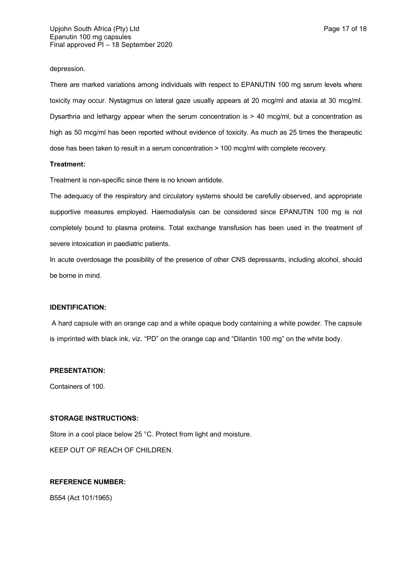### depression.

There are marked variations among individuals with respect to EPANUTIN 100 mg serum levels where toxicity may occur. Nystagmus on lateral gaze usually appears at 20 mcg/ml and ataxia at 30 mcg/ml. Dysarthria and lethargy appear when the serum concentration is > 40 mcg/ml, but a concentration as high as 50 mcg/ml has been reported without evidence of toxicity. As much as 25 times the therapeutic dose has been taken to result in a serum concentration > 100 mcg/ml with complete recovery.

### **Treatment:**

Treatment is non-specific since there is no known antidote.

The adequacy of the respiratory and circulatory systems should be carefully observed, and appropriate supportive measures employed. Haemodialysis can be considered since EPANUTIN 100 mg is not completely bound to plasma proteins. Total exchange transfusion has been used in the treatment of severe intoxication in paediatric patients.

In acute overdosage the possibility of the presence of other CNS depressants, including alcohol, should be borne in mind.

## **IDENTIFICATION:**

A hard capsule with an orange cap and a white opaque body containing a white powder. The capsule is imprinted with black ink, viz. "PD" on the orange cap and "Dilantin 100 mg" on the white body.

### **PRESENTATION:**

Containers of 100.

### **STORAGE INSTRUCTIONS:**

Store in a cool place below 25 °C. Protect from light and moisture.

KEEP OUT OF REACH OF CHILDREN.

## **REFERENCE NUMBER:**

B554 (Act 101/1965)